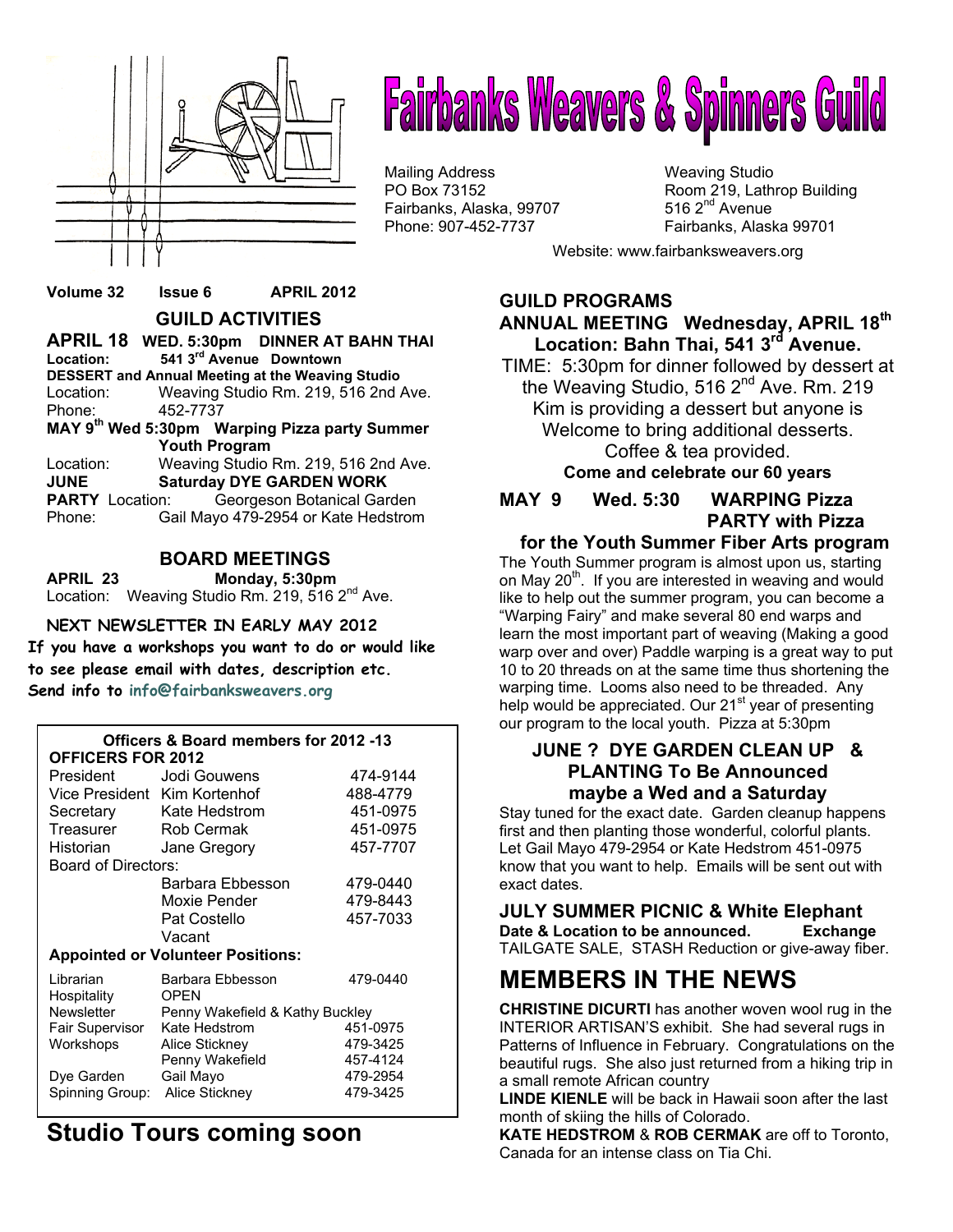

# **Fairbanks Weavers & Spinners Guild**

Mailing Address Mail in the Weaving Studio<br>
Mailing Address Manus (Weaving Studio PO Box 73152 Fairbanks, Alaska, 99707 Phone: 907-452-7737 Fairbanks, Alaska 99701

Room 219, Lathrop Building 516  $2<sup>nd</sup>$  Avenue

Website: www.fairbanksweavers.org

### **Volume 32 Issue 6 APRIL 2012 GUILD ACTIVITIES**

| Location:                                               | APRIL 18 WED. 5:30pm DINNER AT BAHN THAI<br>541 3rd Avenue Downtown |  |  |  |  |  |
|---------------------------------------------------------|---------------------------------------------------------------------|--|--|--|--|--|
| <b>DESSERT and Annual Meeting at the Weaving Studio</b> |                                                                     |  |  |  |  |  |
| Location:                                               | Weaving Studio Rm. 219, 516 2nd Ave.                                |  |  |  |  |  |
| Phone:                                                  | 452-7737                                                            |  |  |  |  |  |
| MAY 9th Wed 5:30pm Warping Pizza party Summer           |                                                                     |  |  |  |  |  |
| <b>Youth Program</b>                                    |                                                                     |  |  |  |  |  |
| Location:                                               | Weaving Studio Rm. 219, 516 2nd Ave.                                |  |  |  |  |  |
| <b>Saturday DYE GARDEN WORK</b><br><b>JUNE</b>          |                                                                     |  |  |  |  |  |
| <b>PARTY</b> Location:                                  | Georgeson Botanical Garden                                          |  |  |  |  |  |
| Phone:                                                  | Gail Mayo 479-2954 or Kate Hedstrom                                 |  |  |  |  |  |

### **BOARD MEETINGS**

**APRIL 23 Monday, 5:30pm**  Location: Weaving Studio Rm. 219, 516 2<sup>nd</sup> Ave.

### **NEXT NEWSLETTER IN EARLY MAY 2012**

**If you have a workshops you want to do or would like to see please email with dates, description etc. Send info to info@fairbanksweavers.org**

| Officers & Board members for 2012 -13<br><b>OFFICERS FOR 2012</b> |                                 |          |  |  |  |  |  |
|-------------------------------------------------------------------|---------------------------------|----------|--|--|--|--|--|
|                                                                   | President Jodi Gouwens          | 474-9144 |  |  |  |  |  |
|                                                                   | Vice President Kim Kortenhof    | 488-4779 |  |  |  |  |  |
| Secretary                                                         | Kate Hedstrom                   | 451-0975 |  |  |  |  |  |
| Treasurer                                                         | Rob Cermak                      | 451-0975 |  |  |  |  |  |
| Historian                                                         | Jane Gregory                    | 457-7707 |  |  |  |  |  |
| <b>Board of Directors:</b>                                        |                                 |          |  |  |  |  |  |
|                                                                   | Barbara Ebbesson                | 479-0440 |  |  |  |  |  |
|                                                                   | Moxie Pender                    | 479-8443 |  |  |  |  |  |
|                                                                   | Pat Costello                    | 457-7033 |  |  |  |  |  |
|                                                                   | Vacant                          |          |  |  |  |  |  |
| <b>Appointed or Volunteer Positions:</b>                          |                                 |          |  |  |  |  |  |
| Librarian<br>Hospitality                                          | Barbara Ebbesson<br><b>OPEN</b> | 479-0440 |  |  |  |  |  |
| <b>Newsletter</b>                                                 | Penny Wakefield & Kathy Buckley |          |  |  |  |  |  |
| Fair Supervisor                                                   | Kate Hedstrom                   | 451-0975 |  |  |  |  |  |
| Workshops                                                         | Alice Stickney                  | 479-3425 |  |  |  |  |  |
|                                                                   | Penny Wakefield                 | 457-4124 |  |  |  |  |  |
| Dye Garden                                                        | Gail Mayo                       | 479-2954 |  |  |  |  |  |
| Spinning Group:                                                   | Alice Stickney                  | 479-3425 |  |  |  |  |  |

# **Studio Tours coming soon**

**GUILD PROGRAMS ANNUAL MEETING Wednesday, APRIL 18th Location: Bahn Thai, 541 3rd Avenue.** 

TIME: 5:30pm for dinner followed by dessert at the Weaving Studio, 516 2<sup>nd</sup> Ave. Rm. 219 Kim is providing a dessert but anyone is Welcome to bring additional desserts. Coffee & tea provided. **Come and celebrate our 60 years** 

**MAY 9 Wed. 5:30 WARPING Pizza** 

 **PARTY with Pizza** 

### **for the Youth Summer Fiber Arts program**

The Youth Summer program is almost upon us, starting on May  $20<sup>th</sup>$ . If you are interested in weaving and would like to help out the summer program, you can become a "Warping Fairy" and make several 80 end warps and learn the most important part of weaving (Making a good warp over and over) Paddle warping is a great way to put 10 to 20 threads on at the same time thus shortening the warping time. Looms also need to be threaded. Any help would be appreciated. Our 21<sup>st</sup> year of presenting our program to the local youth. Pizza at 5:30pm

### **JUNE ? DYE GARDEN CLEAN UP & PLANTING To Be Announced maybe a Wed and a Saturday**

Stay tuned for the exact date. Garden cleanup happens first and then planting those wonderful, colorful plants. Let Gail Mayo 479-2954 or Kate Hedstrom 451-0975 know that you want to help. Emails will be sent out with exact dates.

### **JULY SUMMER PICNIC & White Elephant Date & Location to be announced. Exchange**

TAILGATE SALE, STASH Reduction or give-away fiber.

# **MEMBERS IN THE NEWS**

**CHRISTINE DICURTI** has another woven wool rug in the INTERIOR ARTISAN'S exhibit. She had several rugs in Patterns of Influence in February. Congratulations on the beautiful rugs. She also just returned from a hiking trip in a small remote African country

**LINDE KIENLE** will be back in Hawaii soon after the last month of skiing the hills of Colorado.

**KATE HEDSTROM** & **ROB CERMAK** are off to Toronto, Canada for an intense class on Tia Chi.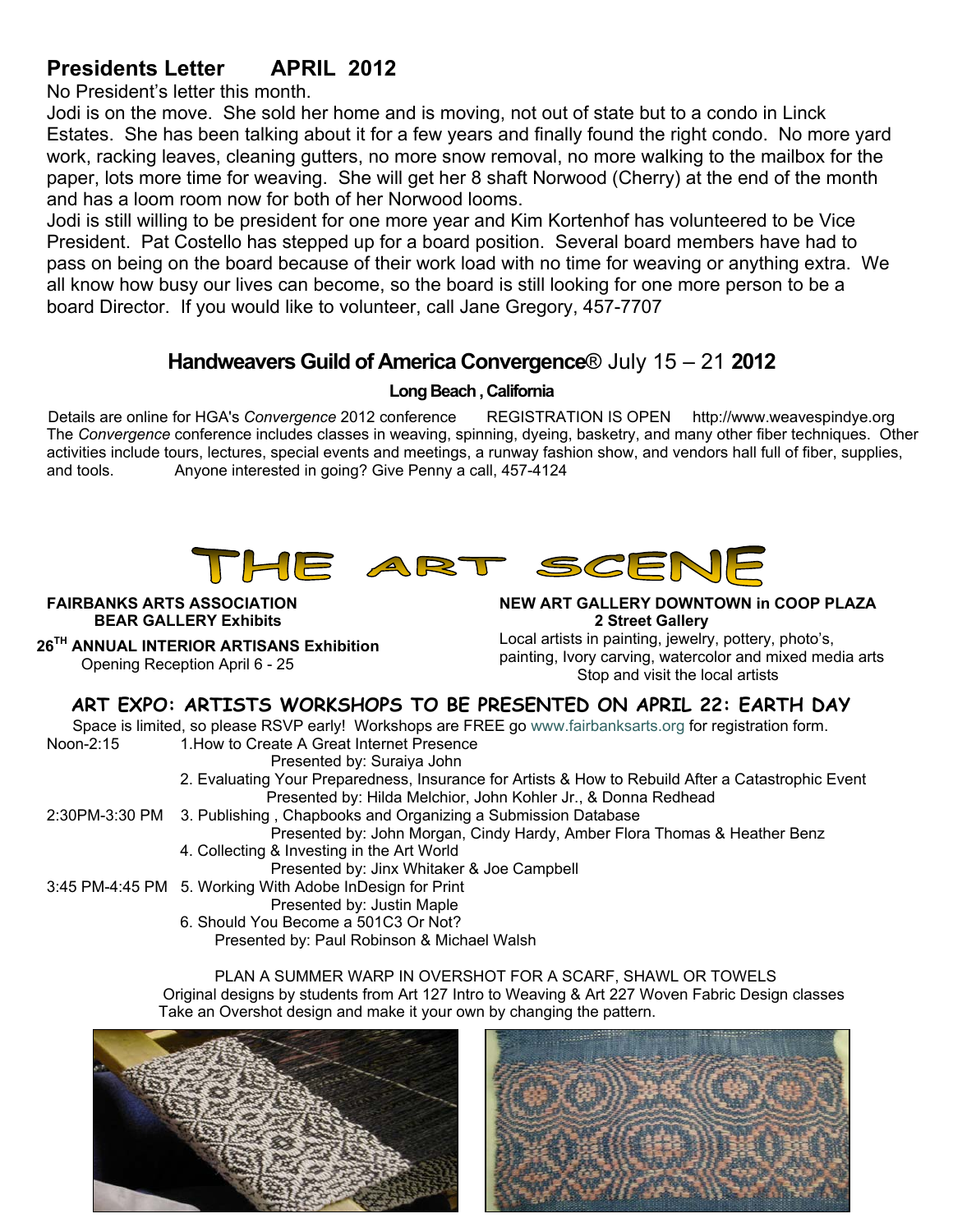# **Presidents Letter APRIL 2012**

No President's letter this month.

Jodi is on the move. She sold her home and is moving, not out of state but to a condo in Linck Estates. She has been talking about it for a few years and finally found the right condo. No more yard work, racking leaves, cleaning gutters, no more snow removal, no more walking to the mailbox for the paper, lots more time for weaving. She will get her 8 shaft Norwood (Cherry) at the end of the month and has a loom room now for both of her Norwood looms.

Jodi is still willing to be president for one more year and Kim Kortenhof has volunteered to be Vice President. Pat Costello has stepped up for a board position. Several board members have had to pass on being on the board because of their work load with no time for weaving or anything extra. We all know how busy our lives can become, so the board is still looking for one more person to be a board Director. If you would like to volunteer, call Jane Gregory, 457-7707

### **Handweavers Guild of America Convergence**® July 15 – 21 **2012**

### **Long Beach , California**

Details are online for HGA's *Convergence* 2012 conference REGISTRATION IS OPEN http://www.weavespindye.org The *Convergence* conference includes classes in weaving, spinning, dyeing, basketry, and many other fiber techniques. Other activities include tours, lectures, special events and meetings, a runway fashion show, and vendors hall full of fiber, supplies, and tools. Anyone interested in going? Give Penny a call, 457-4124



**FAIRBANKS ARTS ASSOCIATION BEAR GALLERY Exhibits** 

 **26TH ANNUAL INTERIOR ARTISANS Exhibition**  Opening Reception April 6 - 25

**NEW ART GALLERY DOWNTOWN in COOP PLAZA 2 Street Gallery** Local artists in painting, jewelry, pottery, photo's,

painting, Ivory carving, watercolor and mixed media arts Stop and visit the local artists

### **ART EXPO: ARTISTS WORKSHOPS TO BE PRESENTED ON APRIL 22: EARTH DAY**

 Space is limited, so please RSVP early! Workshops are FREE go www.fairbanksarts.org for registration form. Noon-2:15 1.How to Create A Great Internet Presence

Presented by: Suraiya John

 2. Evaluating Your Preparedness, Insurance for Artists & How to Rebuild After a Catastrophic Event Presented by: Hilda Melchior, John Kohler Jr., & Donna Redhead

2:30PM-3:30 PM 3. Publishing , Chapbooks and Organizing a Submission Database

Presented by: John Morgan, Cindy Hardy, Amber Flora Thomas & Heather Benz 4. Collecting & Investing in the Art World

Presented by: Jinx Whitaker & Joe Campbell

3:45 PM-4:45 PM 5. Working With Adobe InDesign for Print

Presented by: Justin Maple

6. Should You Become a 501C3 Or Not?

Presented by: Paul Robinson & Michael Walsh

PLAN A SUMMER WARP IN OVERSHOT FOR A SCARF, SHAWL OR TOWELS Original designs by students from Art 127 Intro to Weaving & Art 227 Woven Fabric Design classes Take an Overshot design and make it your own by changing the pattern.



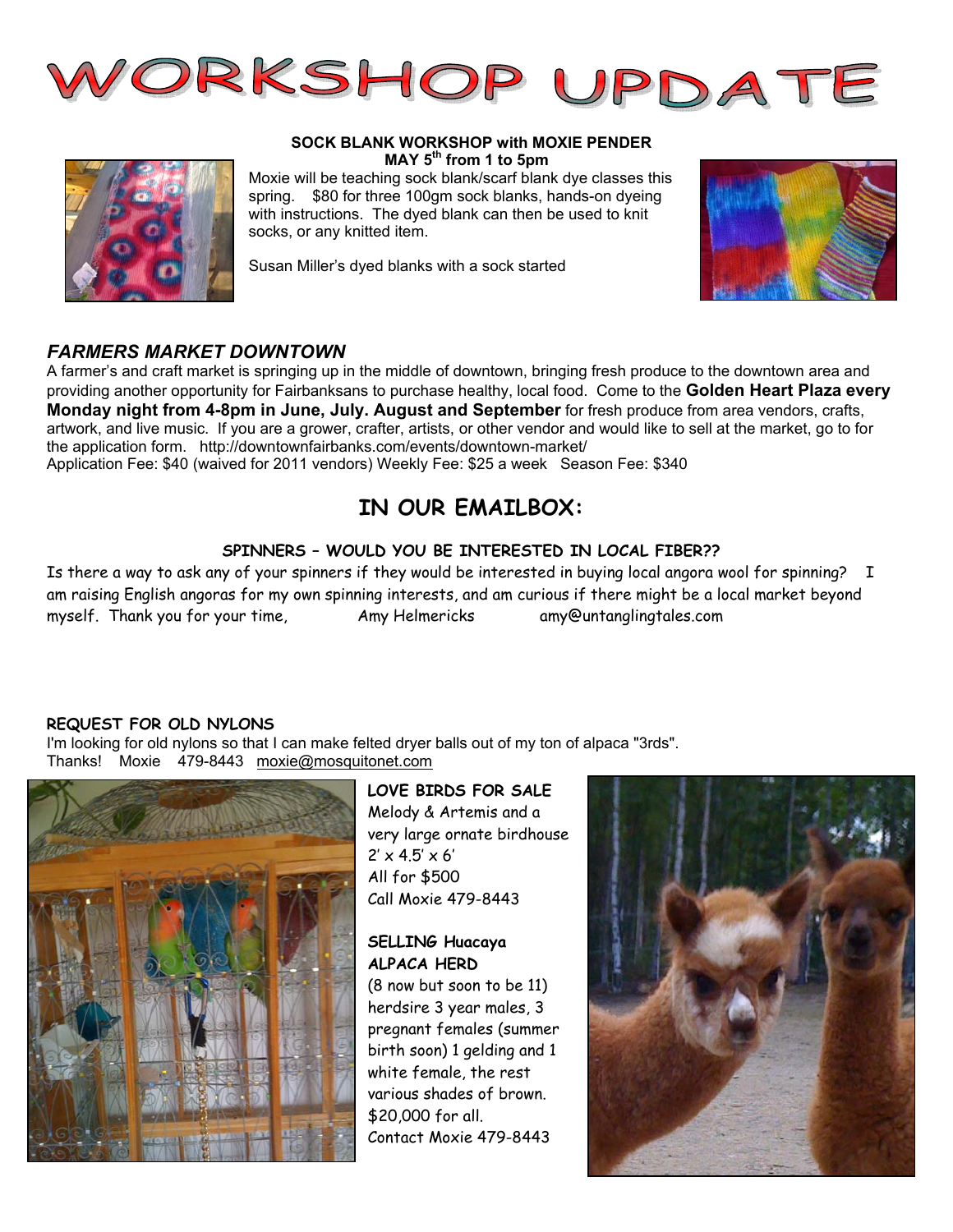

### **SOCK BLANK WORKSHOP with MOXIE PENDER MAY 5th from 1 to 5pm**

Moxie will be teaching sock blank/scarf blank dye classes this spring. \$80 for three 100gm sock blanks, hands-on dyeing with instructions. The dyed blank can then be used to knit socks, or any knitted item.

Susan Miller's dyed blanks with a sock started



### *FARMERS MARKET DOWNTOWN*

A farmer's and craft market is springing up in the middle of downtown, bringing fresh produce to the downtown area and providing another opportunity for Fairbanksans to purchase healthy, local food. Come to the **Golden Heart Plaza every Monday night from 4-8pm in June, July. August and September** for fresh produce from area vendors, crafts, artwork, and live music. If you are a grower, crafter, artists, or other vendor and would like to sell at the market, go to for the application form. http://downtownfairbanks.com/events/downtown-market/ Application Fee: \$40 (waived for 2011 vendors) Weekly Fee: \$25 a week Season Fee: \$340

# **IN OUR EMAILBOX:**

### **SPINNERS – WOULD YOU BE INTERESTED IN LOCAL FIBER??**

Is there a way to ask any of your spinners if they would be interested in buying local angora wool for spinning? I am raising English angoras for my own spinning interests, and am curious if there might be a local market beyond myself. Thank you for your time, http://www.my.Helmericks.com/amy@untanglingtales.com

### **REQUEST FOR OLD NYLONS**

I'm looking for old nylons so that I can make felted dryer balls out of my ton of alpaca "3rds". Thanks! Moxie 479-8443 moxie@mosquitonet.com



### **LOVE BIRDS FOR SALE**

Melody & Artemis and a very large ornate birdhouse  $2' \times 4.5' \times 6'$ All for \$500 Call Moxie 479-8443

### **SELLING Huacaya ALPACA HERD**

(8 now but soon to be 11) herdsire 3 year males, 3 pregnant females (summer birth soon) 1 gelding and 1 white female, the rest various shades of brown. \$20,000 for all. Contact Moxie 479-8443

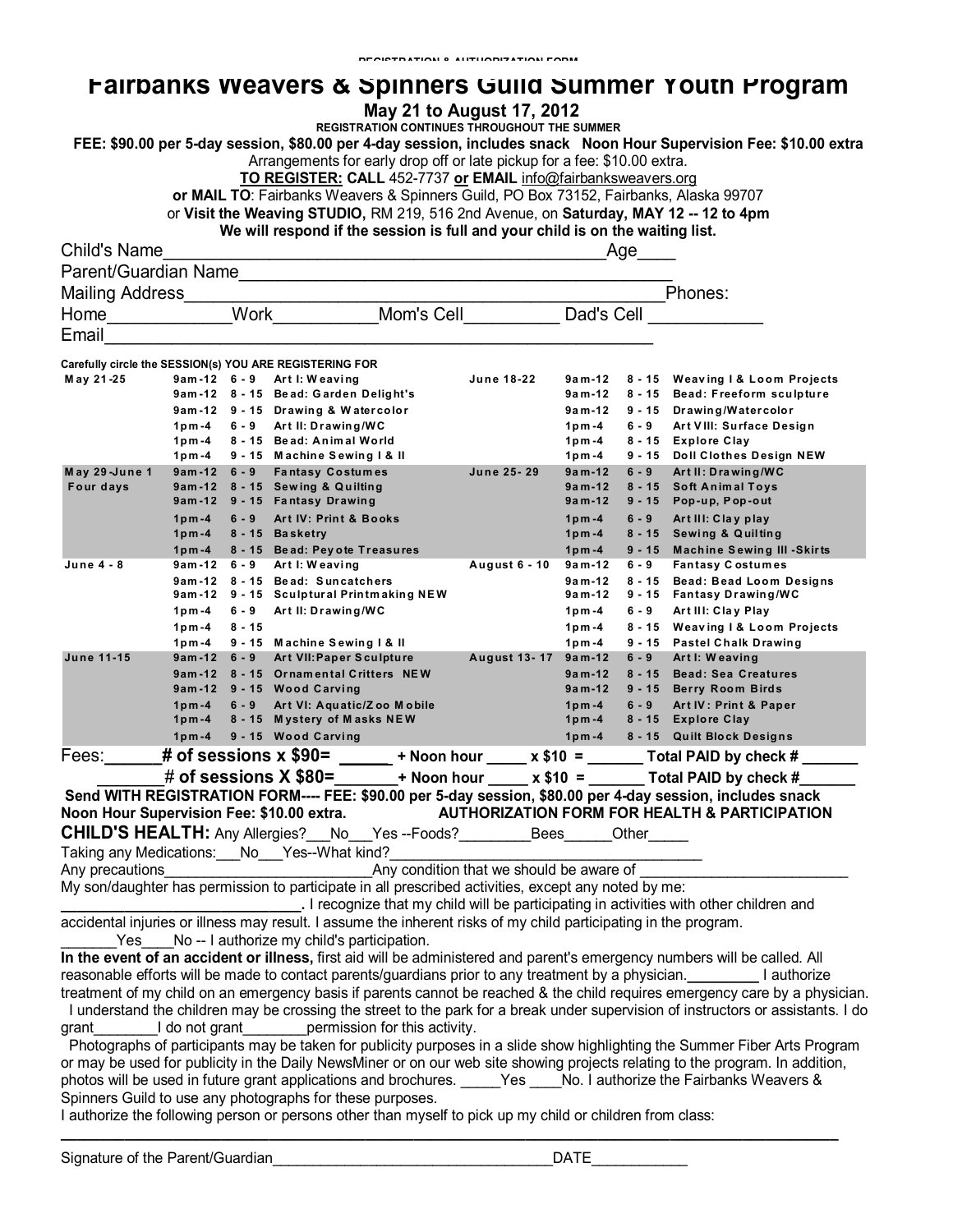## **Fairbanks Weavers & Spinners Guild Summer Youth Program**

|  | May 21 to August 17, 2012 |  |
|--|---------------------------|--|
|--|---------------------------|--|

**REGISTRATION & AUTHORIZATION FORM** 

**REGISTRATION CONTINUES THROUGHOUT THE SUMMER**

**FEE: \$90.00 per 5-day session, \$80.00 per 4-day session, includes snack Noon Hour Supervision Fee: \$10.00 extra**

Arrangements for early drop off or late pickup for a fee: \$10.00 extra.

**TO REGISTER: CALL** 452-7737 **or EMAIL** info@fairbanksweavers.org

**or MAIL TO**: Fairbanks Weavers & Spinners Guild, PO Box 73152, Fairbanks, Alaska 99707

or **Visit the Weaving STUDIO,** RM 219, 516 2nd Avenue, on **Saturday, MAY 12 -- 12 to 4pm**

**We will respond if the session is full and your child is on the waiting list.** 

| <b>Child's Name</b>                       |                    |          | <u> 1950 - Johann John Barn, mars an deus Amerikaansk kommunister (</u>                                                       |               |                         | Age                  |                                                                                                                                   |
|-------------------------------------------|--------------------|----------|-------------------------------------------------------------------------------------------------------------------------------|---------------|-------------------------|----------------------|-----------------------------------------------------------------------------------------------------------------------------------|
|                                           |                    |          | Parent/Guardian Name                                                                                                          |               |                         |                      |                                                                                                                                   |
| Mailing Address <b>Mailing</b>            |                    |          |                                                                                                                               |               |                         |                      | Phones:                                                                                                                           |
| Home <b>Home</b>                          |                    |          | Work Mom's Cell                                                                                                               |               | Dad's Cell              |                      |                                                                                                                                   |
| Email                                     |                    |          |                                                                                                                               |               |                         |                      |                                                                                                                                   |
|                                           |                    |          |                                                                                                                               |               |                         |                      |                                                                                                                                   |
|                                           |                    |          | Carefully circle the SESSION(s) YOU ARE REGISTERING FOR                                                                       |               |                         |                      |                                                                                                                                   |
| May 21-25                                 |                    |          | 9am-12 6-9 Artl: Weaving                                                                                                      | June 18-22    | 9a m-12                 |                      | 8 - 15 Weaving I & Loom Projects                                                                                                  |
|                                           |                    |          | 9am-12 8-15 Bead: Garden Delight's                                                                                            |               | $9a m-12$               |                      | 8 - 15 Bead: Freeform sculpture                                                                                                   |
|                                           | $1p$ m -4          |          | 9am-12 9-15 Drawing & Watercolor<br>6 - 9 Art II: Drawing/WC                                                                  |               | $9a m-12$<br>$1p m - 4$ | $6 - 9$              | 9 - 15 Drawing/Watercolor<br>Art VIII: Surface Design                                                                             |
|                                           | $1pm-4$            |          | 8 - 15 Bead: Animal World                                                                                                     |               | 1 $pm - 4$              |                      | 8 - 15 Explore Clay                                                                                                               |
|                                           | 1pm - 4            |          | 9 - 15 Machine Sewing I & II                                                                                                  |               | 1pm - 4                 |                      | 9 - 15 Doll Clothes Design NEW                                                                                                    |
| May 29-June 1                             | $9am-12 \quad 6-9$ |          | <b>Fantasy Costumes</b>                                                                                                       | June 25-29    | $9a m-12$               | $6 - 9$              | Art II: Drawing/WC                                                                                                                |
| Four days                                 |                    |          | 9am-12 8 - 15 Sewing & Quilting<br>9am-12 9-15 Fantasy Drawing                                                                |               | 9am-12<br>$9a m-12$     | $8 - 15$<br>$9 - 15$ | <b>Soft Animal Toys</b><br>Pop-up, Pop-out                                                                                        |
|                                           | $1p m - 4$         | $6 - 9$  | Art IV: Print & Books                                                                                                         |               | $1p m - 4$              | $6 - 9$              | Art III: Clay play                                                                                                                |
|                                           | $1p m - 4$         |          | 8 - 15 Basketry                                                                                                               |               | $1p m - 4$              | $8 - 15$             | <b>Sewing &amp; Quilting</b>                                                                                                      |
| June 4 - 8                                | $1pm-4$<br>9am-12  | $6 - 9$  | 8 - 15 Bead: Pey ote Treasures<br>Art I: Weaving                                                                              | August 6 - 10 | $1p m - 4$<br>$9a m-12$ | $6 - 9$              | 9 - 15 Machine Sewing III - Skirts<br><b>Fantasy Costumes</b>                                                                     |
|                                           | $9am-12$           |          | 8 - 15 Bead: Suncatchers                                                                                                      |               | $9a m-12$               | $8 - 15$             | <b>Bead: Bead Loom Designs</b>                                                                                                    |
|                                           | 9am -12            |          | 9 - 15 Sculptural Printmaking NEW                                                                                             |               | $9a m-12$               |                      | 9 - 15 Fantasy Drawing/WC                                                                                                         |
|                                           | $1pm-4$            | 6-9      | Art II: Drawing/WC                                                                                                            |               | 1 $pm - 4$              | $6 - 9$              | Art III: Clay Play                                                                                                                |
|                                           | $1pm-4$            | $8 - 15$ |                                                                                                                               |               | $1p m - 4$              |                      | 8 - 15 Weaving I & Loom Projects                                                                                                  |
|                                           | 1pm - 4            |          | 9 - 15 Machine Sewing I & II                                                                                                  |               | $1pm-4$                 |                      | 9 - 15 Pastel Chalk Drawing                                                                                                       |
| <b>June 11-15</b>                         | $9am-12$ 6 - 9     |          | Art VII: Paper Sculpture<br>9am-12 8-15 Ornamental Critters NEW                                                               | August 13-17  | $9a m-12$<br>$9a m-12$  | $6 - 9$<br>$8 - 15$  | Art I: Weaving<br><b>Bead: Sea Creatures</b>                                                                                      |
|                                           |                    |          | 9am-12 9-15 Wood Carving                                                                                                      |               | $9a m-12$               |                      | 9 - 15 Berry Room Birds                                                                                                           |
|                                           | $1p m - 4$         | $6 - 9$  | Art VI: Aquatic/Zoo Mobile                                                                                                    |               | $1pm-4$                 | $6 - 9$              | Art IV: Print & Paper                                                                                                             |
|                                           | $1p m - 4$         |          | 8 - 15 Mystery of Masks NEW                                                                                                   |               | $1p m - 4$              |                      | 8 - 15 Explore Clay                                                                                                               |
|                                           | $1p m - 4$         |          | 9 - 15 Wood Carving                                                                                                           |               | $1pm-4$                 |                      | 8 - 15 Quilt Block Designs                                                                                                        |
| Fees:                                     |                    |          | __# of sessions x \$90= _____ + Noon hour ____ x \$10 = ______ Total PAID by check # ___                                      |               |                         |                      |                                                                                                                                   |
|                                           |                    |          | # of sessions X \$80=______+ Noon hour _____ x \$10 = ______ Total PAID by check #_                                           |               |                         |                      |                                                                                                                                   |
|                                           |                    |          | Send WITH REGISTRATION FORM---- FEE: \$90.00 per 5-day session, \$80.00 per 4-day session, includes snack                     |               |                         |                      |                                                                                                                                   |
| Noon Hour Supervision Fee: \$10.00 extra. |                    |          |                                                                                                                               |               |                         |                      | <b>AUTHORIZATION FORM FOR HEALTH &amp; PARTICIPATION</b>                                                                          |
|                                           |                    |          | CHILD'S HEALTH: Any Allergies?__No__Yes --Foods?_________Bees______Other_                                                     |               |                         |                      |                                                                                                                                   |
|                                           |                    |          | Taking any Medications: No ___ Yes--What kind?                                                                                |               |                         |                      |                                                                                                                                   |
| Any precautions                           |                    |          | Any condition that we should be aware of                                                                                      |               |                         |                      |                                                                                                                                   |
|                                           |                    |          | My son/daughter has permission to participate in all prescribed activities, except any noted by me:                           |               |                         |                      |                                                                                                                                   |
|                                           |                    |          |                                                                                                                               |               |                         |                      |                                                                                                                                   |
|                                           |                    |          | accidental injuries or illness may result. I assume the inherent risks of my child participating in the program.              |               |                         |                      |                                                                                                                                   |
|                                           |                    |          | Yes No -- I authorize my child's participation.                                                                               |               |                         |                      |                                                                                                                                   |
|                                           |                    |          | In the event of an accident or illness, first aid will be administered and parent's emergency numbers will be called. All     |               |                         |                      |                                                                                                                                   |
|                                           |                    |          | reasonable efforts will be made to contact parents/guardians prior to any treatment by a physician. The authorize             |               |                         |                      |                                                                                                                                   |
|                                           |                    |          |                                                                                                                               |               |                         |                      | treatment of my child on an emergency basis if parents cannot be reached & the child requires emergency care by a physician.      |
|                                           |                    |          |                                                                                                                               |               |                         |                      | I understand the children may be crossing the street to the park for a break under supervision of instructors or assistants. I do |
| grant_                                    |                    |          | I do not grant________permission for this activity.                                                                           |               |                         |                      |                                                                                                                                   |
|                                           |                    |          |                                                                                                                               |               |                         |                      | Photographs of participants may be taken for publicity purposes in a slide show highlighting the Summer Fiber Arts Program        |
|                                           |                    |          | or may be used for publicity in the Daily NewsMiner or on our web site showing projects relating to the program. In addition, |               |                         |                      |                                                                                                                                   |
|                                           |                    |          | photos will be used in future grant applications and brochures. Thes No. I authorize the Fairbanks Weavers &                  |               |                         |                      |                                                                                                                                   |
|                                           |                    |          | Spinners Guild to use any photographs for these purposes.                                                                     |               |                         |                      |                                                                                                                                   |
|                                           |                    |          | I authorize the following person or persons other than myself to pick up my child or children from class:                     |               |                         |                      |                                                                                                                                   |

**\_\_\_\_\_\_\_\_\_\_\_\_\_\_\_\_\_\_\_\_\_\_\_\_\_\_\_\_\_\_\_\_\_\_\_\_\_\_\_\_\_\_\_\_\_\_\_\_\_\_\_\_\_\_\_\_\_\_\_\_\_\_\_\_\_\_\_\_\_\_\_\_\_\_\_\_\_\_\_\_\_\_\_\_\_\_\_\_\_\_\_\_\_\_\_\_\_**